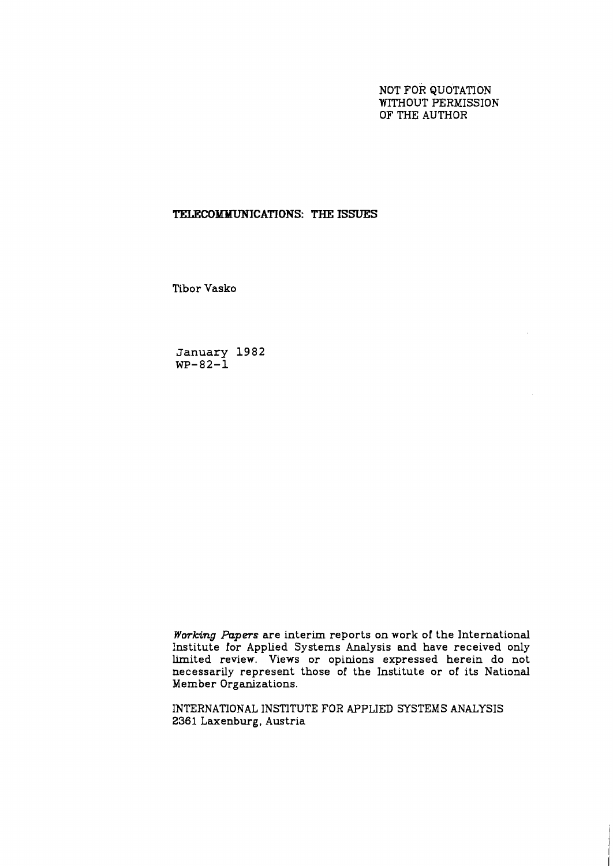NOT FOR QUOTATION WITHOUT PERMISSION OF THE AUTHOR

# **TELECOMMUNICATIONS: THE ISSUES**

Tibor Vasko

**January 1982 WP-82-1** 

**Working** *Papers* are interim reports on work of the International Institute for Applied Systems Analysis and have received only limited review. Views or opinions expressed herein do not necessarily represent those of the Institute or of its National Member Organizations.

INTERNATlONAL INSTITUTE FOR APPLIED SYSTEMS ANALYSIS 2361 Laxenburg, Austria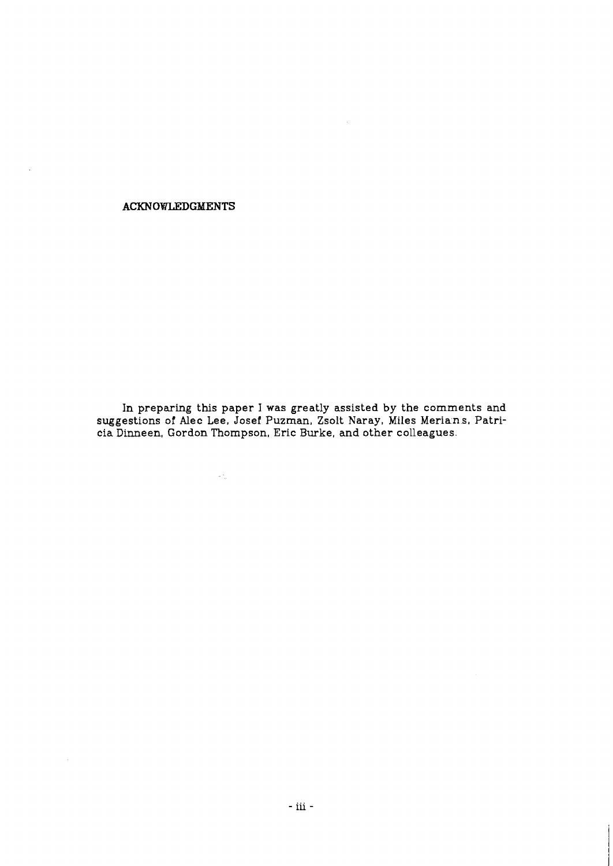## **ACKNOWLEDGMENTS**

 $\ddot{\phantom{a}}$ 

In preparing this paper I was greatly assisted by the comments and suggestions of Alec Lee, Josef Puzman, Zsolt Naray, Miles Meria $\,$ n.s, Patri- $\,$ cia Dinneen, Gordon Thompson, Eric Burke, and other colleagues.

 $\langle \omega \rangle_{\mu}$  .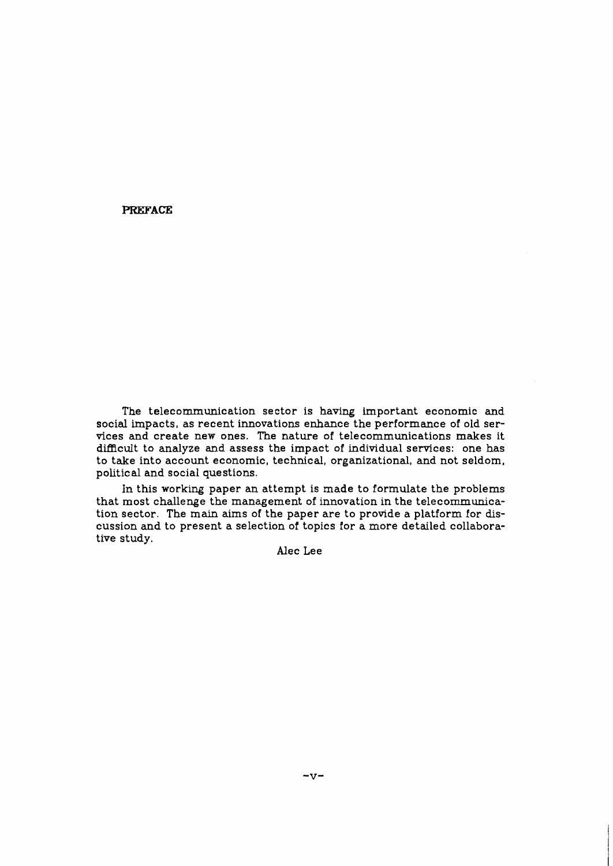**PREFACE** 

The telecommunication sector is having important economic and social impacts, as recent innovations enhance the performance of old services and create new ones. The nature of telecommunications makes it difficult to analyze and assess the impact of individual services: one has to take into account economic, technical, organizational, and not seldom, political and social questions.

In this working paper an attempt is made to formulate the problems that most challenge the management of innovation in the telecommunication sector. The main aims of the paper are to provide a platform for discussion and to present a selection of topics for a more detailed collaborative study.

Alec Lee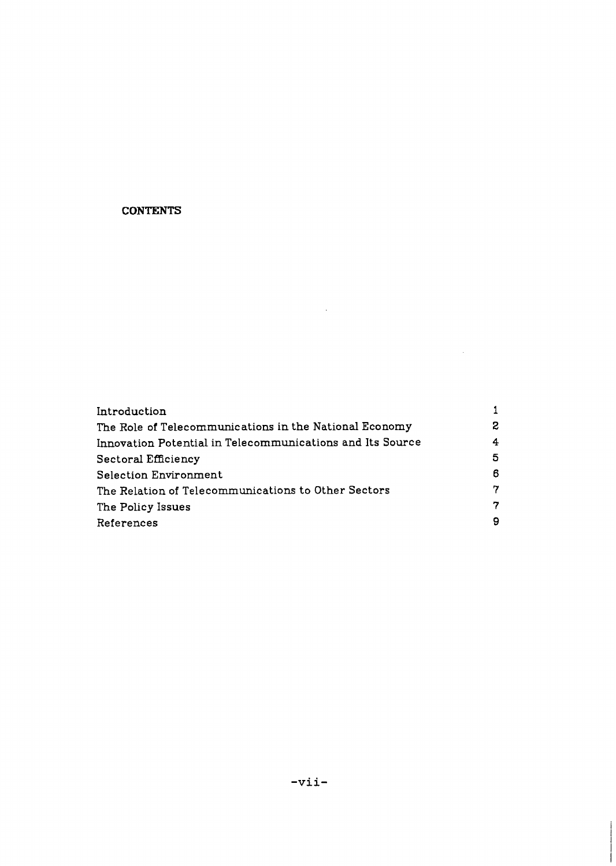# **CONTENTS**

| Introduction                                              |    |
|-----------------------------------------------------------|----|
| The Role of Telecommunications in the National Economy    | 2. |
| Innovation Potential in Telecommunications and Its Source | 4  |
| Sectoral Efficiency                                       | 5  |
| <b>Selection Environment</b>                              | 6  |
| The Relation of Telecommunications to Other Sectors       | 7  |
| The Policy Issues                                         | 7  |
| References                                                | 9  |

 $\sim 10^{11}$  km  $^{-1}$ 

 $\mathcal{L}^{\text{max}}_{\text{max}}$  and  $\mathcal{L}^{\text{max}}_{\text{max}}$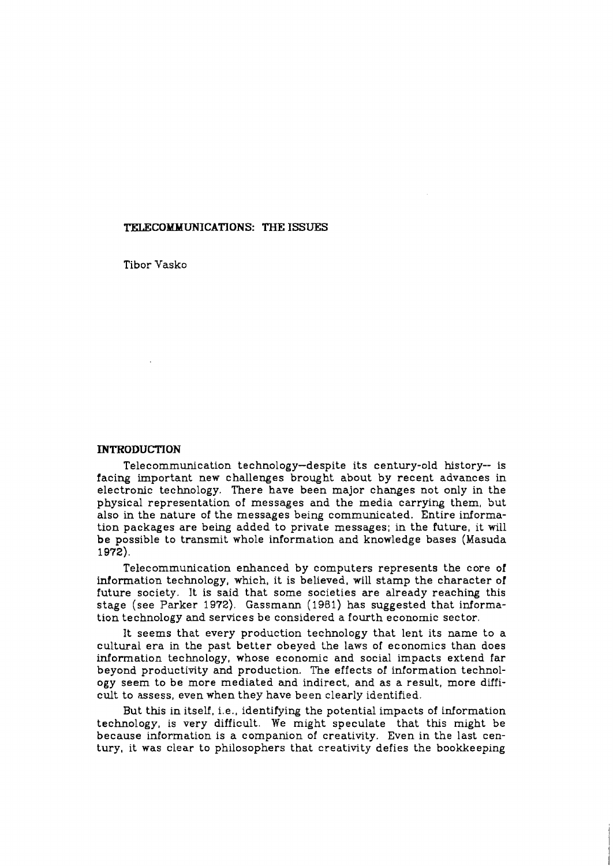### **TELECOMMUNICATIONS: THE ISSUES**

Tibor Vasko

### **INTRODUCTION**

Telecommunication technology-despite its century-old history-- is facing important new challenges brought about by recent advances in electronic technology. There have been major changes not only in the physical representation of messages and the media carrying them, but also in the nature of the messages being communicated. Entire information packages are being added to private messages; in the future, it will be possible to transmit whole information and knowledge bases (Masuda 1972).

Telecommunication enhanced by computers represents the core of information technology, which, it is believed, will stamp the character of future society. It is said that some societies are already reaching this stage (see Parker 1972). Gzssmann (1981) has suggested that information technology and services be considered a fourth economic sector.

It seems that every production technology that lent its name to a cultural era in the past better obeyed the laws of economics than does information technology, whose economic and social impacts extend far beyond productivity and production. The effects of information technology seem to be more mediated and indirect, and as a result, more difficult to assess, even when they have been clearly identified.

But this in itself, i.e., identifying the potential impacts of information technology, is very difficult. We might speculate that this might be because information is a companion of creativity. Even in the last century, it was clear to philosophers that creativity defies the bookkeeping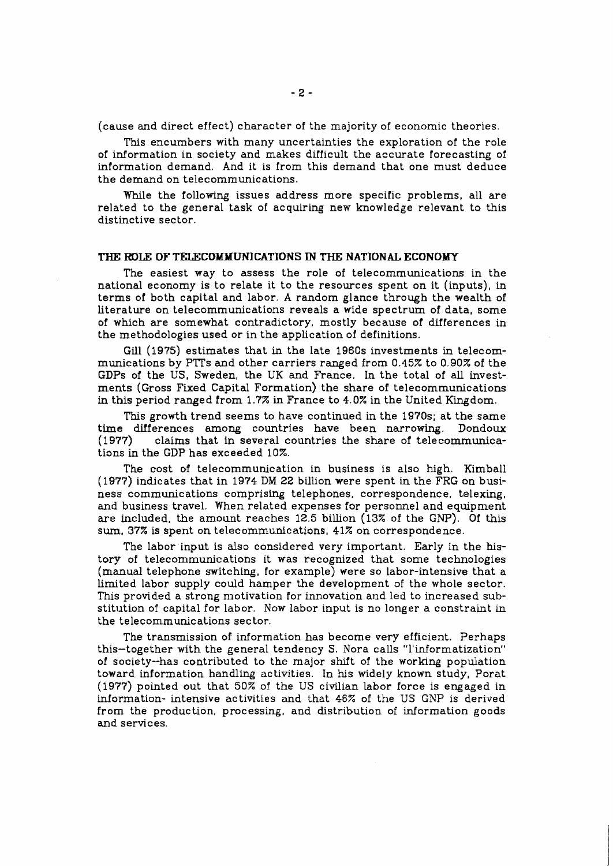(cause and direct effect) character of the majority of economic theories.

This encumbers with many uncertainties the exploration of the role of information in society and makes difficult the accurate forecasting of information demand. And it is from this demand that one must deduce the demand on telecommunications.

While the following issues address more specific problems, all are related to the general task of acquiring new knowledge relevant to this distinctive sector.

### **THE ROLF: OF TELECOMMUNICATIONS IN THE NATIONAL ECONOMY**

The easiest way to assess the role of telecommunications in the national economy is to relate it to the resources spent on it (inputs), in terms of both capital and labor. **A** random glance through the wealth of literature on telecommunications reveals a wide spectrum of data, some of which are somewhat contradictory, mostly because of differences in the methodologies used or in the application of definitions.

Gill (1975) estimates that in the late 1960s investments in telecommunications by PTTs and other carriers ranged from 0.45% to 0.90% of the GDPs of the US, Sweden, the UK and France. In the total of all investments (Gross Fixed Capital Formation) the share of telecommunications in this period ranged from 1.7% in France to 4.0% in the United Kingdom.

This growth trend seems to have continued in the 1970s; at the same time differences among countries have been narrowing. Dondoux (1977) claims that in several countries the share of telecommunicaclaims that in several countries the share of telecommunications in the GDP has exceeded 10%.

The cost of telecommunication in business is also high. Kimball (1977) indicates that in 1974 DM 22 billion were spent in the FRG on business communications comprising telephones, correspondence, telexing, and business travel. When related expenses for personnel and equipment are included, the amount reaches 12.5 billion (13% of the GNP). Of this sum, 37% is spent on telecommunications, 41% on correspondence.

The labor input is also considered very important. Early in the history of telecommunications it was recognized that some technologies (manual telephone switching, for example) were so labor-intensive that a limited labor supply could hamper the development of the whole sector. This provided a strong motivation for innovation and led to increased substitution of capital for labor. Now labor input is no longer a constraint in the telecommunications sector.

The transmission of information has become very efficient. Perhaps this-together with the general tendency S. Nora calls "l'informatization" of society--has contributed to the major shift of the working population toward information handling activities. In his widely known study, Porat (1977) pointed out that 50% of the US civilian labor force is engaged in information- intensive activities and that 46% of the US GNP is derived from the produc tion, processing, and distribution of information goods and services.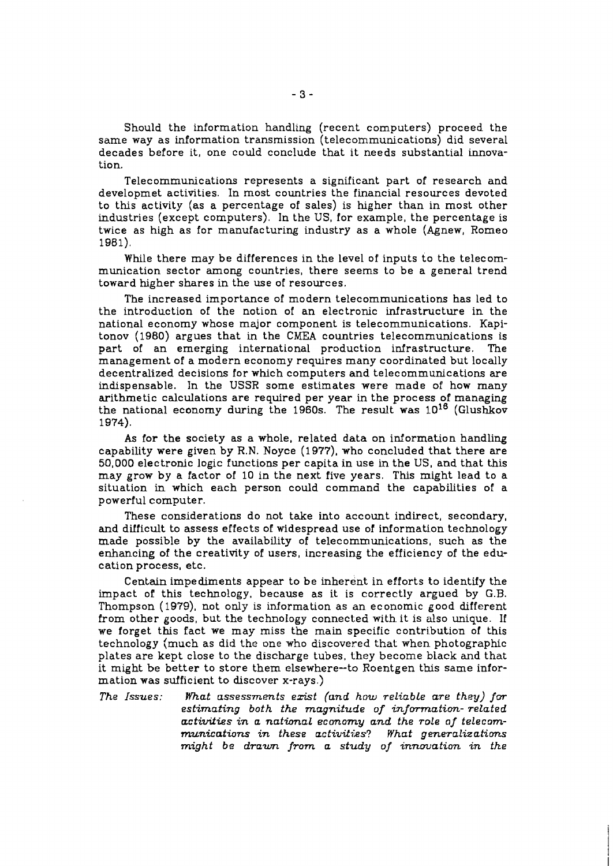Should the information handling (recent computers) proceed the same way as information transmission (telecommunications) did several decades before it, one could conclude that it needs substantial innovation.

Telecommunications represents a significant part of research and developmet activities. In most countries the financial resources devoted to this activity (as a percentage of sales) is hgher than in most other industries (except computers). In the US, for example, the percentage is twice as high as for manufacturing industry as a whole (Agnew, Romeo 1981).

While there may be differences in the level of inputs to the telecommunication sector among countries, there seems to be a general trend toward higher shares in the use of resources.

The increased importance of modern telecommunications has led to the introduction of the notion of an electronic infrastructure in the national economy whose major component is telecommunications. Kapitonov (1980) argues that in the CMEA countries telecommunications is part of an emerging international production infrastructure. management of a modern economy requires many coordinated but locally decentralized decisions for which computers and telecommunications are indispensable. In the USSR some estimates were made of how many arithmetic calculations are required per year in the process of managing the national economy during the 1960s. The result was  $10^{16}$  (Glushkov 1 974).

As for the society as a whole, related data on information handling capability were given by R.N. Noyce (197?), who concluded that there are 50,000 electronic logic functions per capita in use in the US, and that this may grow by a factor of 10 in the next five years. This might lead to a situation in which each person could command the capabilities of a powerful computer.

These considerations do not take into account indirect, secondary, and difficult to assess effects of widespread use of information technology made possible by the availability of telecommunications, such as the enhancing of the creativity of users, increasing the efficiency of the education process, etc.

Centain impediments appear to be inherent in efforts to identify the impact of this technology, because as it is correctly argued by G.B. Thompson **(1979),** not only is information as an economic good different from other goods, but the technology connected with it is also unique. If we forget this fact we may miss the main specific contribution of this technology (much as did the one who discovered that when photographic plates are kept close to the discharge tubes, they become black and that it might be better to store them elsewhere--to Roentgen this same information was sufficient to discover x-rays.)

*The Issues: What ussessments ezist (und how reliable are they) for*  estimating both the magnitude of information-related *activities in a national economy and the role of telecommunications in these activities? What generalizations might be drawn from a study of innmation. in the*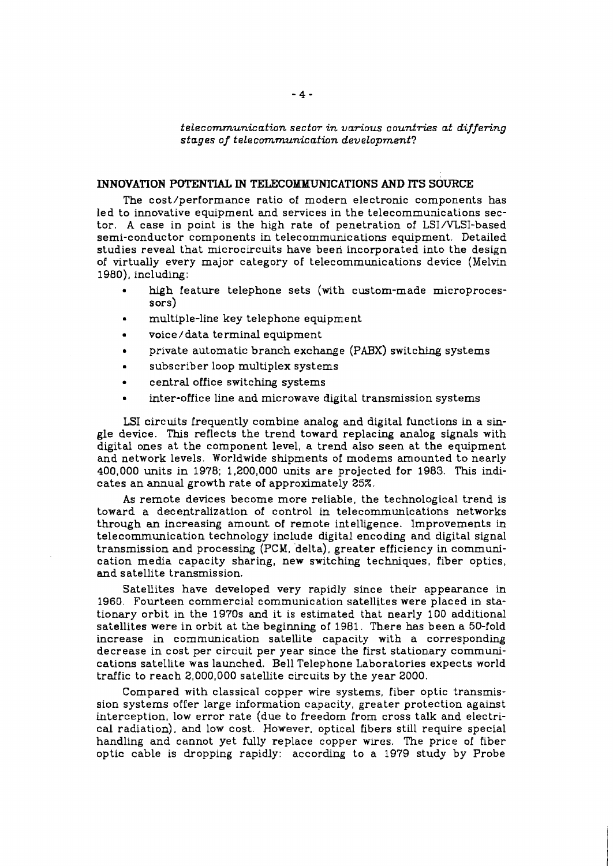$telecommunication~sector~in~various~countries~at~differential$ *stages of* **f** *elecommunication development?* 

# **INNOVATION POTENTIAL IN TELECOMMUNICATIONS AND ITS SOURCE**

The cost/performance ratio of modern electronic components has led to innovative equipment and services in the telecommunications sector. **A** case in point is the high rate of penetration of LSI/VLSI-based semi-conductor components in telecommunications equipment. Detailed studies reveal that microcircuits have been incorporated into the design of virtually every major category of telecommunications device (Melvin 1980), including:

- high feature telephone sets (with custom-made microprocessors)
- multiple-line key telephone equipment
- voice / data terminal equipment L
- private automatic branch exchange (PABX) switching systems  $\bullet$
- subscriber loop multiplex systems  $\bullet$
- central office switching systems
- inter-office line and microwave digital transmission systems

**LSI** circuits frequently combine analog and digital functions in a single device. This reflects the trend toward replacing analog signals with digital ones at the component level, a trend also seen at the equipment and network levels. Worldwide shipments of modems amounted to nearly 400,000 units in 1978; 1,200,000 units are projected for 1983. 'Iks indicates an annual growth rate of approximately 25%.

As remote devices become more reliable, the technological trend is toward a decentralization of control in telecommunications networks through an increasing amount of remote intelligence. Improvements in telecommunication technology include digital encoding and digital signal transmission and processing (PCM, delta), greater efficiency in communication media capacity sharing, new switching techniques, fiber optics, and satellite transmission.

Satellites have developed very rapidly since their appearance in 1960. Fourteen commercial communication satellites were placed in stationary orbit in the 1970s and it is estimated that nearly 100 additional satellites were in orbit at the beginning of 1981. There has been a 50-fold increase in communication satellite capacity with a corresponding decrease in cost per circuit per year since the first stationary communications satellite was launched. Bell Telephone Laboratories expects world traffic to reach 2,000,000 satellite circuits by the year 2000.

Compared with classical copper wire systems, fiber optic transmission systems offer large information capacity, greater protection against interception, low error rate (due to freedom from cross talk and electrical radiation), and low cost. However, optical fibers still require special handling and cannot yet fully replace copper wires. The price of fiber optic cable is dropping rapidly: according to a 1979 study by Probe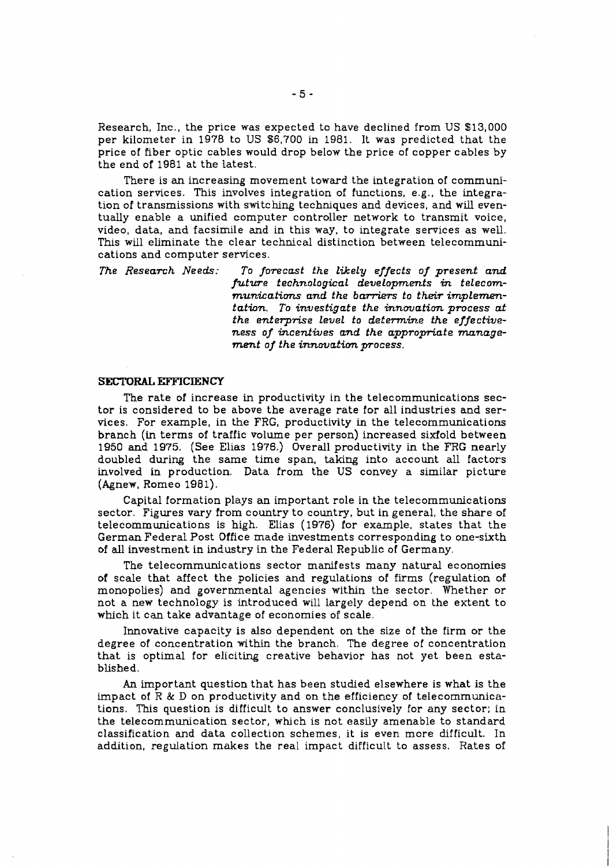Research, Inc., the price was expected to have declined from US \$13,000 per kilometer in 1978 to US 86,700 in 1981. It was predicted that the price of fiber optic cables would drop below the price of copper cables by the end of 1981 at the latest.

There is **an** increasing movement toward the integration of communication services. This involves integration of functions, e.g., the integration of transmissions with switching techniques and devices, and will eventually enable a unified computer controller network to transmit voice, video, data, and facsimile and in this way, to integrate services as well. This will eliminate the clear technical distinction between telecommunications and computer services.

*The Research Needs: To forecast the likely effects of present and future technological developments* **in** *telecom*munications and the barriers to their implemen*tation. To investigate the innovation process at the enterprise level to determine the effectiveness of incentwes and the appropriate management of the innovation process.* 

#### **SECTORAL EFFICIENCY**

The rate of increase in productivity in the telecommunications sector is considered to be above the average rate for all industries and services. For example, in the FRG, productivity in the telecommunications branch (in terms of traffic volume per person) increased sixfold between 1950 and 1975. (See Elias 1976.) Overall productivity in the FRG nearly doubled during the same time span, taking into account all factors involved in production. Data from the US convey a similar picture (Agnew, Romeo 1981).

Capital formation plays an important role in the telecommunications sector. Figures vary from country to country, but in general, the share of telecommunications is high. Elias (1976) for example, states that the German Federal Post Office made investments corresponding to one-sixth of all investment in industry in the Federal Republic of Germany.

The telecommunications sector manifests many natural economies of scale that affect the policies and regulations of firms (regulation of monopolies) and governmental agencies within the sector. Whether or not a new technology is introduced will largely depend on the extent to which it can take advantage of economies of scale.

Innovative capacity is also dependent on the size of the firm or the degree of concentration within the branch. The degree of concentration that is optimal for elicitmg creative behavior has not yet been establishe d.

An important question that has been studied elsewhere is what is the impact of  $R \& D$  on productivity and on the efficiency of telecommunications. This question is difficult to answer conclusively for any sector; in the telecommunication sector, which is not easily amenable to standard classification and data collection schemes, it is even more difficult. In addition, regulation makes the real impact difficult to assess. Rates of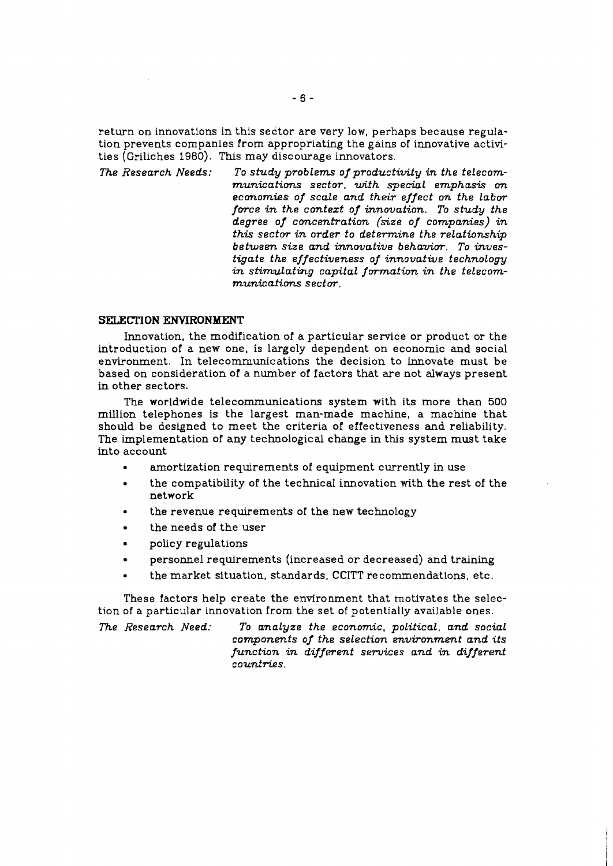return on innovations in this sector are very low, perhaps because regulation prevents companies from appropriating the gains of innovative activities (Griliches 1980). This may discourage innovators.

*The Research Needs: To study problems of productivity in the telecommunications sector, with special emphasis* **on**  *economies of scale and their effect on the labor force in the contezt of innovation. To study the degree of concentration (size of companies) in this sectw in order to determine the relationship between size and innovative behavim. To investigate the effectiveness of innovative technology in stimulating capital formation in the telecom* $m$ *unications sector.* 

#### **SELECTION ENVIRONMENT**

Innovation, the modification of a particular service or product or the introduction of a new one, is largely dependent on economic **and** social environment. In telecommunications the decision to innovate must be based on consideration of a number of factors that are not always present in other sectors.

The worldwide telecommunications system with its more than 500 million telephones is the largest man-made machine, a machine that should be designed to meet the criteria of effectiveness **and** reliability. The implementation of any technological change in this system must take into account

- amortization requirements of equipment currently in use
- the compatibility of the technical innovation with the rest of the network
- the revenue requirements of the new technology
- the needs of the user  $\blacksquare$
- policy regulations
- personnel requirements (increased or decreased) and training  $\bullet$
- the market situation, standards, CCITT recommendations, etc.

These factors help create the environment that motivates the selection of a particular innovation from the set of potentially available ones.

*The Research Need: To analyze the economic, political, and social components of the selection environment and its function in different services and in different counfries.*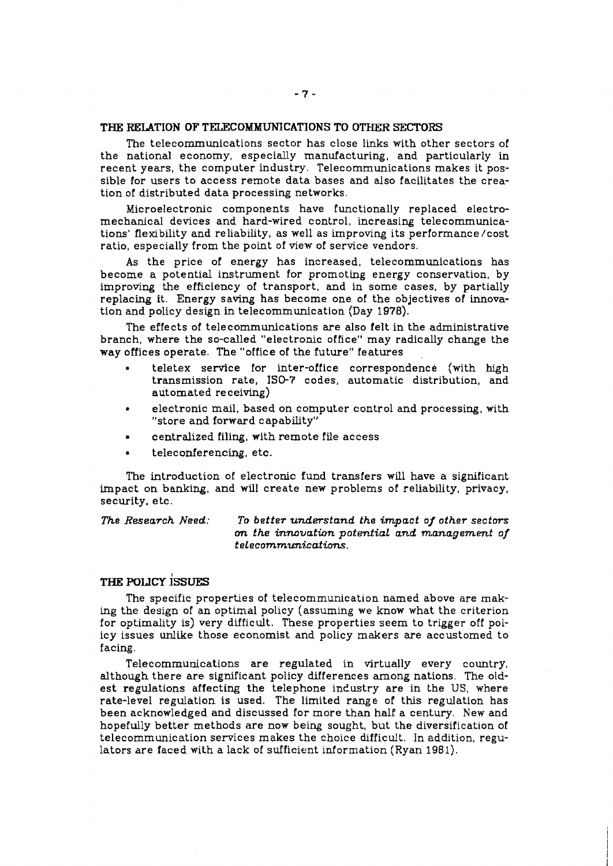### THE RELATION OF TELECOMMUNICATIONS TO OTHER SECTORS

The telecommunications sector has close links with other sectors of the national economy, especially manufacturing, and particularly in recent years, the computer industry. Telecommunications makes it possible for users to access remote data bases and also facilitates the creation of distributed data processing networks.

Microelectronic components have functionally replaced electromechanical devices and hard-wired control, increasing telecommunications' flexibility and reliability, as well as improving its performance/cost ratio, especially from the point of view of service vendors.

As the price of energy has increased, telecommunications has become a potential instrument for promoting energy conservation, by improving the efficiency of transport, and in some cases, by partially replacing it. Energy saving has become one of the objectives of innovation and policy design in telecommunication (Day 1978).

The effects of telecommunications are also felt in the administrative branch, where the so-called "electronic office" may radically change the way offices operate. The "office of the future" features

- teletex service for inter-office correspondence (with high transmission rate, **IS@?** codes, automatic distribution, and automated receiving)
- electronic mail, based on computer control and processing, with "store and forward capability"
- centralized filing, with remote file access
- teleconferencing, etc.

The introduction of electronic fund transfers will have a significant impact on banking, and will create new problems of reliability, privacy, security, etc.

*The Research Need: To better understand the impact of other sectors*  **on** *the innovation potential and management of telecommunications.* 

# **THE** POLICY **~ssUES**

The specific properties of telecommunication named above are mak**ing** the design of an optimal policy (assuming **we** know what the criterion for optimality is) very difficult. These properties seem to trigger off policy issues **unlike** those economist and policy makers are accustomed to facing.

Telecommunications are regulated in virtually every country, although there are significant policy differences among nations. The oldest regulations affecting the telephone industry are in the US, where rate-level regulation is used. The limited range of this regulation has been acknowledged and discussed for more than half a century. New and hopefully better methods are now being sought, but the diversification of telecommunication services makes the choice difficult. In addition, regulators are faced with a lack of sufficient information (Ryan 1981).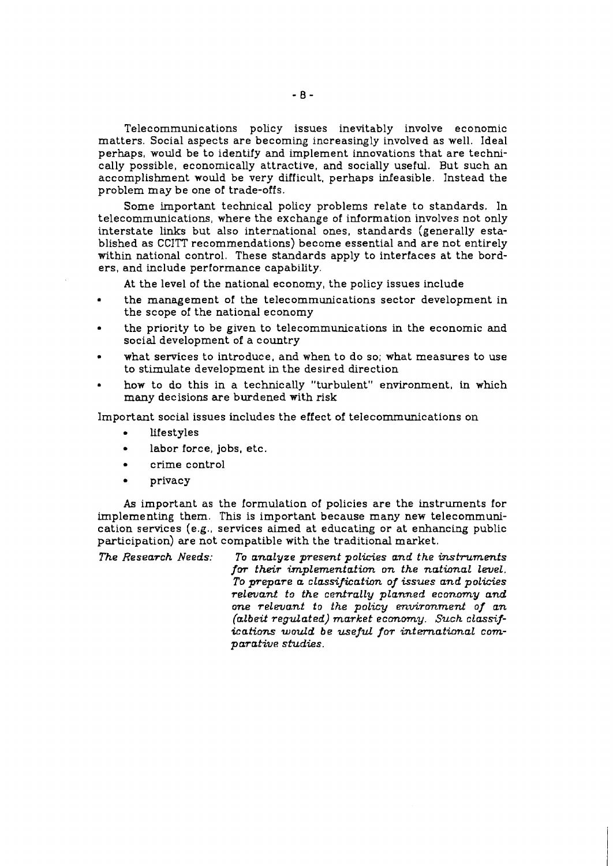Telecommunications policy issues inevitably involve economic matters. Social aspects are becommg increasingly involved as well. Ideal perhaps, would be to identify and implement innovations that are technically possible, economically attractive, and socially useful. But such an accomplishment would be very difficult, perhaps infeasible. Instead the problem may be one of trade-offs.

Some important technical policy problems relate to standards. In telecommunications, where the exchange of information involves not only interstate links but also international ones, standards (generally established as CCITT recommendations) become essential and are not entirely within national control. These standards apply to interfaces at the borders, and include performance capability.

At the level of the national economy, the policy issues include

- the management of the telecommunications sector development in the scope of the national economy
- the priority to be given to telecommunications in the economic and social development of a country
- what services to introduce, and when to do so; what measures to use to stimulate development in the desired direction
- how to do this in a technically "turbulent" environment, in which many decisions are burdened with risk

Important social issues includes the effect of telecomrnunications on

- lifestyles
- labor force, jobs, etc.
- crime control
- $\bullet$ privacy

**As** important as the formulation of policies are the instruments for implementing them. This is important because many new telecommunication services (e.g., services aimed at educating or at enhancing public participation) are not compatible with the traditional market.

*The Research Needs: To analyze present policies and the instruments*  for their implementation on the national level. *To pTepare a classificath of issues and policies relevant to the centrally planned economy and one relevant to the policy environment of an (albeit regulated) market economy. Such classifications would be useful for international comparative* **studies.**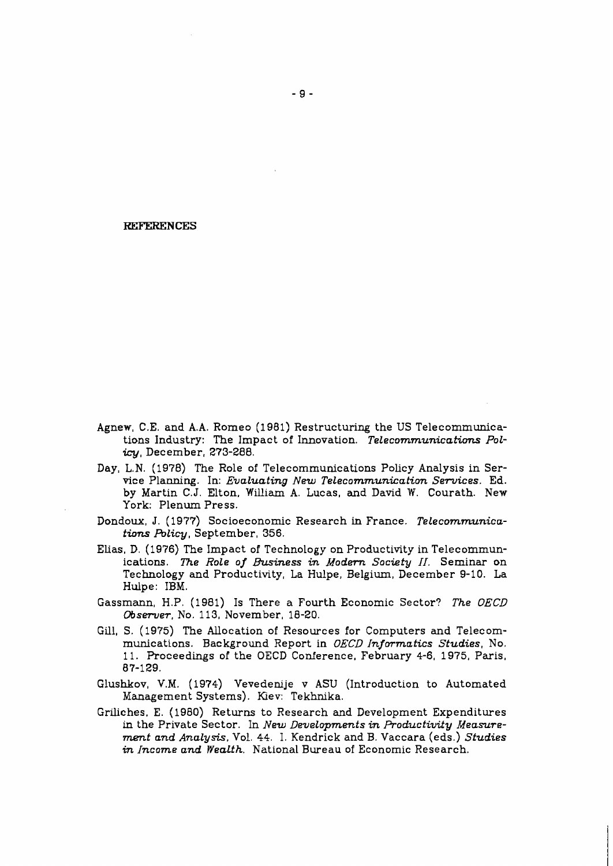#### **REFERENCES**

- Agnew, C.E. and A.A. Romeo (1981) Restructuring the US Telecommunications Industry: The Impact of Innovation. Telecommunications Policy, December, 273-288.
- Day, L.N. (1978) The Role of Telecommunications Policy Analysis in Service Planning. In: Evaluating New Telecommunication Services. Ed. by Martin C.J. Elton, William **A.** Lucas, and David W. Courath. New York: Plenum Press.
- Dondoux, J. (1977) Socioeconomic Research in France. Telecommunications Policy, September, 356.
- Elias, D. (1976) The Impact of Technology on Productivity in Telecommunications. The Role of Business in Modern Society  $II$ . Seminar on Technology and Productivity, La Hulpe, Belgium, December 9-10. La Hulpe: IBM.
- Gassmann, H.P. (1981) Is There a Fourth Economic Sector? The OECD Observer, No. 113, November, 18-20.
- Gill, S. (1975) The Allocation of Resources for Computers and Telecommunications. Background Report in OECD Informatics Studies, No. 11. Proceedings of the OECD Conference, February 4-6, 1975, Paris, 87-129.
- Glushkov, V.M. (1974) Vevedenije v ASU (Introduction to Automated Management Systems). Kiev: Tekhnika.
- Griliches, E. (1980) Returns to Research and Development Expenditures in the Private Sector. In New Developments in Productivity Meamrement and Analysis, Vol. 44. 1. Kendrick and B. Vaccara (eds.) Studies in Income and Wealth. National Bureau of Economic Research.